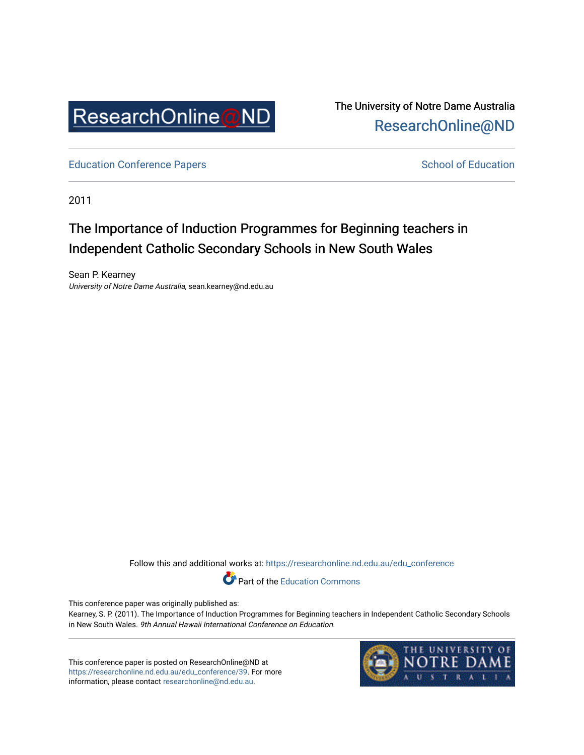

The University of Notre Dame Australia [ResearchOnline@ND](https://researchonline.nd.edu.au/) 

[Education Conference Papers](https://researchonline.nd.edu.au/edu_conference) **School of Education** School of Education

2011

# The Importance of Induction Programmes for Beginning teachers in Independent Catholic Secondary Schools in New South Wales

Sean P. Kearney University of Notre Dame Australia, sean.kearney@nd.edu.au

Follow this and additional works at: [https://researchonline.nd.edu.au/edu\\_conference](https://researchonline.nd.edu.au/edu_conference?utm_source=researchonline.nd.edu.au%2Fedu_conference%2F39&utm_medium=PDF&utm_campaign=PDFCoverPages)

Part of the [Education Commons](http://network.bepress.com/hgg/discipline/784?utm_source=researchonline.nd.edu.au%2Fedu_conference%2F39&utm_medium=PDF&utm_campaign=PDFCoverPages) 

This conference paper was originally published as:

Kearney, S. P. (2011). The Importance of Induction Programmes for Beginning teachers in Independent Catholic Secondary Schools in New South Wales. 9th Annual Hawaii International Conference on Education.

This conference paper is posted on ResearchOnline@ND at [https://researchonline.nd.edu.au/edu\\_conference/39.](https://researchonline.nd.edu.au/edu_conference/39) For more information, please contact [researchonline@nd.edu.au.](mailto:researchonline@nd.edu.au)

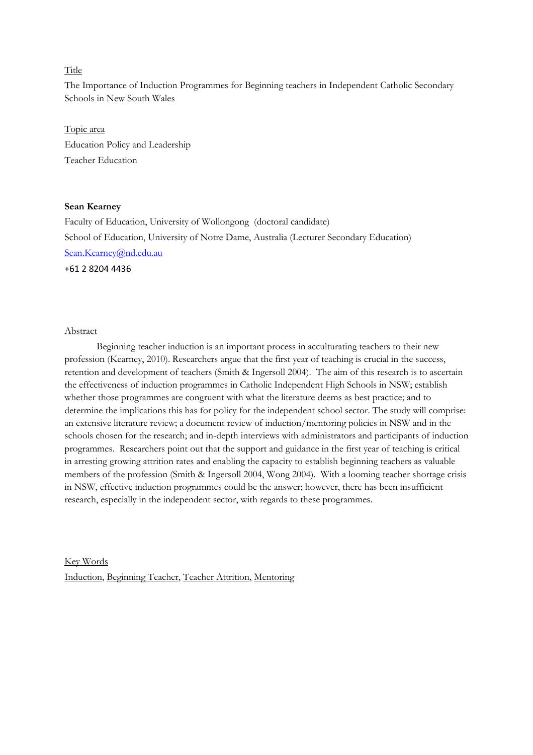# Title

The Importance of Induction Programmes for Beginning teachers in Independent Catholic Secondary Schools in New South Wales

# Topic area Education Policy and Leadership Teacher Education

#### Sean Kearney

Faculty of Education, University of Wollongong (doctoral candidate) School of Education, University of Notre Dame, Australia (Lecturer Secondary Education) Sean.Kearney@nd.edu.au

+61 2 8204 4436

#### Abstract

Beginning teacher induction is an important process in acculturating teachers to their new profession (Kearney, 2010). Researchers argue that the first year of teaching is crucial in the success, retention and development of teachers (Smith & Ingersoll 2004). The aim of this research is to ascertain the effectiveness of induction programmes in Catholic Independent High Schools in NSW; establish whether those programmes are congruent with what the literature deems as best practice; and to determine the implications this has for policy for the independent school sector. The study will comprise: an extensive literature review; a document review of induction/mentoring policies in NSW and in the schools chosen for the research; and in-depth interviews with administrators and participants of induction programmes. Researchers point out that the support and guidance in the first year of teaching is critical in arresting growing attrition rates and enabling the capacity to establish beginning teachers as valuable members of the profession (Smith & Ingersoll 2004, Wong 2004). With a looming teacher shortage crisis in NSW, effective induction programmes could be the answer; however, there has been insufficient research, especially in the independent sector, with regards to these programmes.

Key Words Induction, Beginning Teacher, Teacher Attrition, Mentoring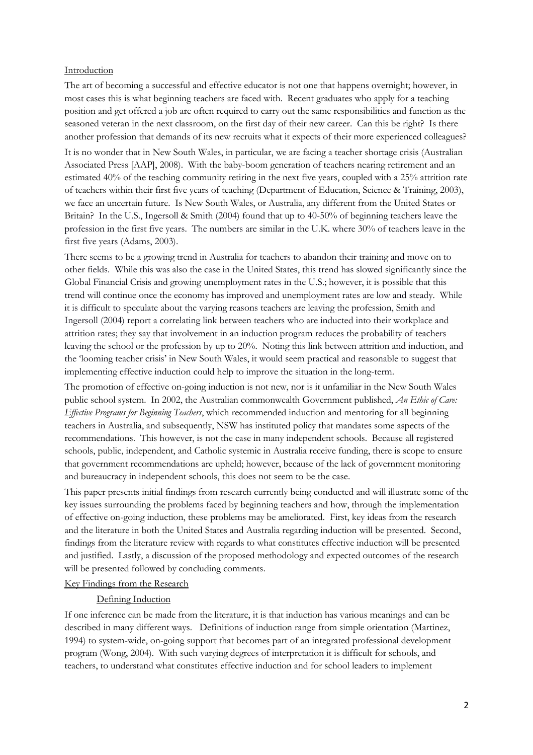#### **Introduction**

The art of becoming a successful and effective educator is not one that happens overnight; however, in most cases this is what beginning teachers are faced with. Recent graduates who apply for a teaching position and get offered a job are often required to carry out the same responsibilities and function as the seasoned veteran in the next classroom, on the first day of their new career. Can this be right? Is there another profession that demands of its new recruits what it expects of their more experienced colleagues?

It is no wonder that in New South Wales, in particular, we are facing a teacher shortage crisis (Australian Associated Press [AAP], 2008). With the baby-boom generation of teachers nearing retirement and an estimated 40% of the teaching community retiring in the next five years, coupled with a 25% attrition rate of teachers within their first five years of teaching (Department of Education, Science & Training, 2003), we face an uncertain future. Is New South Wales, or Australia, any different from the United States or Britain? In the U.S., Ingersoll & Smith (2004) found that up to 40-50% of beginning teachers leave the profession in the first five years. The numbers are similar in the U.K. where 30% of teachers leave in the first five years (Adams, 2003).

There seems to be a growing trend in Australia for teachers to abandon their training and move on to other fields. While this was also the case in the United States, this trend has slowed significantly since the Global Financial Crisis and growing unemployment rates in the U.S.; however, it is possible that this trend will continue once the economy has improved and unemployment rates are low and steady. While it is difficult to speculate about the varying reasons teachers are leaving the profession, Smith and Ingersoll (2004) report a correlating link between teachers who are inducted into their workplace and attrition rates; they say that involvement in an induction program reduces the probability of teachers leaving the school or the profession by up to 20%. Noting this link between attrition and induction, and the 'looming teacher crisis' in New South Wales, it would seem practical and reasonable to suggest that implementing effective induction could help to improve the situation in the long-term.

The promotion of effective on-going induction is not new, nor is it unfamiliar in the New South Wales public school system. In 2002, the Australian commonwealth Government published, An Ethic of Care: Effective Programs for Beginning Teachers, which recommended induction and mentoring for all beginning teachers in Australia, and subsequently, NSW has instituted policy that mandates some aspects of the recommendations. This however, is not the case in many independent schools. Because all registered schools, public, independent, and Catholic systemic in Australia receive funding, there is scope to ensure that government recommendations are upheld; however, because of the lack of government monitoring and bureaucracy in independent schools, this does not seem to be the case.

This paper presents initial findings from research currently being conducted and will illustrate some of the key issues surrounding the problems faced by beginning teachers and how, through the implementation of effective on-going induction, these problems may be ameliorated. First, key ideas from the research and the literature in both the United States and Australia regarding induction will be presented. Second, findings from the literature review with regards to what constitutes effective induction will be presented and justified. Lastly, a discussion of the proposed methodology and expected outcomes of the research will be presented followed by concluding comments.

# Key Findings from the Research

# Defining Induction

If one inference can be made from the literature, it is that induction has various meanings and can be described in many different ways. Definitions of induction range from simple orientation (Martinez, 1994) to system-wide, on-going support that becomes part of an integrated professional development program (Wong, 2004). With such varying degrees of interpretation it is difficult for schools, and teachers, to understand what constitutes effective induction and for school leaders to implement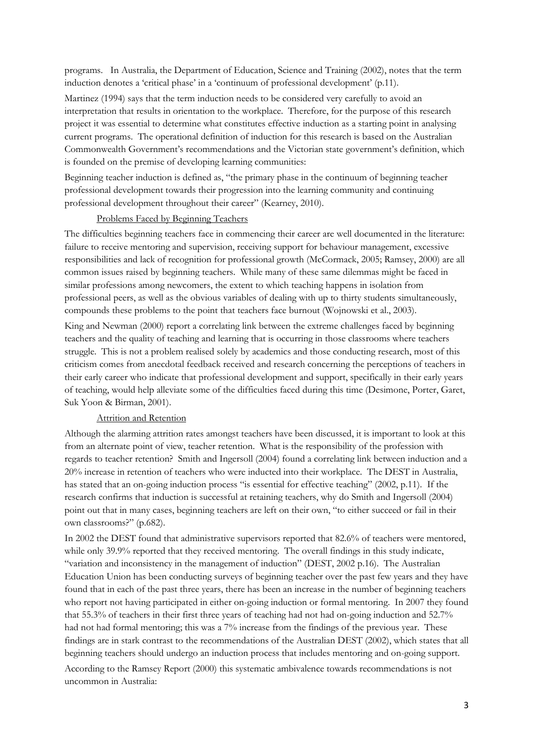programs. In Australia, the Department of Education, Science and Training (2002), notes that the term induction denotes a 'critical phase' in a 'continuum of professional development' (p.11).

Martinez (1994) says that the term induction needs to be considered very carefully to avoid an interpretation that results in orientation to the workplace. Therefore, for the purpose of this research project it was essential to determine what constitutes effective induction as a starting point in analysing current programs. The operational definition of induction for this research is based on the Australian Commonwealth Government's recommendations and the Victorian state government's definition, which is founded on the premise of developing learning communities:

Beginning teacher induction is defined as, "the primary phase in the continuum of beginning teacher professional development towards their progression into the learning community and continuing professional development throughout their career" (Kearney, 2010).

#### Problems Faced by Beginning Teachers

The difficulties beginning teachers face in commencing their career are well documented in the literature: failure to receive mentoring and supervision, receiving support for behaviour management, excessive responsibilities and lack of recognition for professional growth (McCormack, 2005; Ramsey, 2000) are all common issues raised by beginning teachers. While many of these same dilemmas might be faced in similar professions among newcomers, the extent to which teaching happens in isolation from professional peers, as well as the obvious variables of dealing with up to thirty students simultaneously, compounds these problems to the point that teachers face burnout (Wojnowski et al., 2003).

King and Newman (2000) report a correlating link between the extreme challenges faced by beginning teachers and the quality of teaching and learning that is occurring in those classrooms where teachers struggle. This is not a problem realised solely by academics and those conducting research, most of this criticism comes from anecdotal feedback received and research concerning the perceptions of teachers in their early career who indicate that professional development and support, specifically in their early years of teaching, would help alleviate some of the difficulties faced during this time (Desimone, Porter, Garet, Suk Yoon & Birman, 2001).

#### Attrition and Retention

Although the alarming attrition rates amongst teachers have been discussed, it is important to look at this from an alternate point of view, teacher retention. What is the responsibility of the profession with regards to teacher retention? Smith and Ingersoll (2004) found a correlating link between induction and a 20% increase in retention of teachers who were inducted into their workplace. The DEST in Australia, has stated that an on-going induction process "is essential for effective teaching" (2002, p.11). If the research confirms that induction is successful at retaining teachers, why do Smith and Ingersoll (2004) point out that in many cases, beginning teachers are left on their own, "to either succeed or fail in their own classrooms?" (p.682).

In 2002 the DEST found that administrative supervisors reported that 82.6% of teachers were mentored, while only 39.9% reported that they received mentoring. The overall findings in this study indicate, "variation and inconsistency in the management of induction" (DEST, 2002 p.16). The Australian Education Union has been conducting surveys of beginning teacher over the past few years and they have found that in each of the past three years, there has been an increase in the number of beginning teachers who report not having participated in either on-going induction or formal mentoring. In 2007 they found that 55.3% of teachers in their first three years of teaching had not had on-going induction and 52.7% had not had formal mentoring; this was a 7% increase from the findings of the previous year. These findings are in stark contrast to the recommendations of the Australian DEST (2002), which states that all beginning teachers should undergo an induction process that includes mentoring and on-going support. According to the Ramsey Report (2000) this systematic ambivalence towards recommendations is not

uncommon in Australia: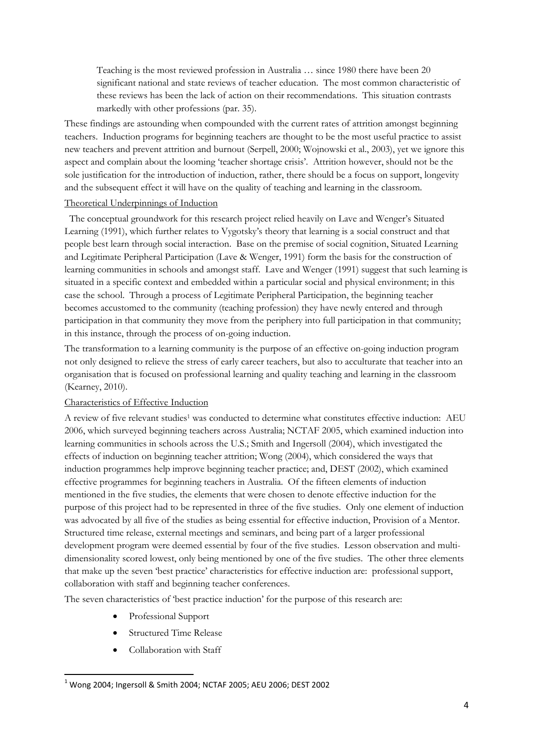Teaching is the most reviewed profession in Australia … since 1980 there have been 20 significant national and state reviews of teacher education. The most common characteristic of these reviews has been the lack of action on their recommendations. This situation contrasts markedly with other professions (par. 35).

These findings are astounding when compounded with the current rates of attrition amongst beginning teachers. Induction programs for beginning teachers are thought to be the most useful practice to assist new teachers and prevent attrition and burnout (Serpell, 2000; Wojnowski et al., 2003), yet we ignore this aspect and complain about the looming 'teacher shortage crisis'. Attrition however, should not be the sole justification for the introduction of induction, rather, there should be a focus on support, longevity and the subsequent effect it will have on the quality of teaching and learning in the classroom.

# Theoretical Underpinnings of Induction

 The conceptual groundwork for this research project relied heavily on Lave and Wenger's Situated Learning (1991), which further relates to Vygotsky's theory that learning is a social construct and that people best learn through social interaction. Base on the premise of social cognition, Situated Learning and Legitimate Peripheral Participation (Lave & Wenger, 1991) form the basis for the construction of learning communities in schools and amongst staff. Lave and Wenger (1991) suggest that such learning is situated in a specific context and embedded within a particular social and physical environment; in this case the school. Through a process of Legitimate Peripheral Participation, the beginning teacher becomes accustomed to the community (teaching profession) they have newly entered and through participation in that community they move from the periphery into full participation in that community; in this instance, through the process of on-going induction.

The transformation to a learning community is the purpose of an effective on-going induction program not only designed to relieve the stress of early career teachers, but also to acculturate that teacher into an organisation that is focused on professional learning and quality teaching and learning in the classroom (Kearney, 2010).

#### Characteristics of Effective Induction

A review of five relevant studies<sup>1</sup> was conducted to determine what constitutes effective induction: AEU 2006, which surveyed beginning teachers across Australia; NCTAF 2005, which examined induction into learning communities in schools across the U.S.; Smith and Ingersoll (2004), which investigated the effects of induction on beginning teacher attrition; Wong (2004), which considered the ways that induction programmes help improve beginning teacher practice; and, DEST (2002), which examined effective programmes for beginning teachers in Australia. Of the fifteen elements of induction mentioned in the five studies, the elements that were chosen to denote effective induction for the purpose of this project had to be represented in three of the five studies. Only one element of induction was advocated by all five of the studies as being essential for effective induction, Provision of a Mentor. Structured time release, external meetings and seminars, and being part of a larger professional development program were deemed essential by four of the five studies. Lesson observation and multidimensionality scored lowest, only being mentioned by one of the five studies. The other three elements that make up the seven 'best practice' characteristics for effective induction are: professional support, collaboration with staff and beginning teacher conferences.

The seven characteristics of 'best practice induction' for the purpose of this research are:

- Professional Support
- Structured Time Release
- Collaboration with Staff

 $\overline{a}$ 

 $^1$  Wong 2004; Ingersoll & Smith 2004; NCTAF 2005; AEU 2006; DEST 2002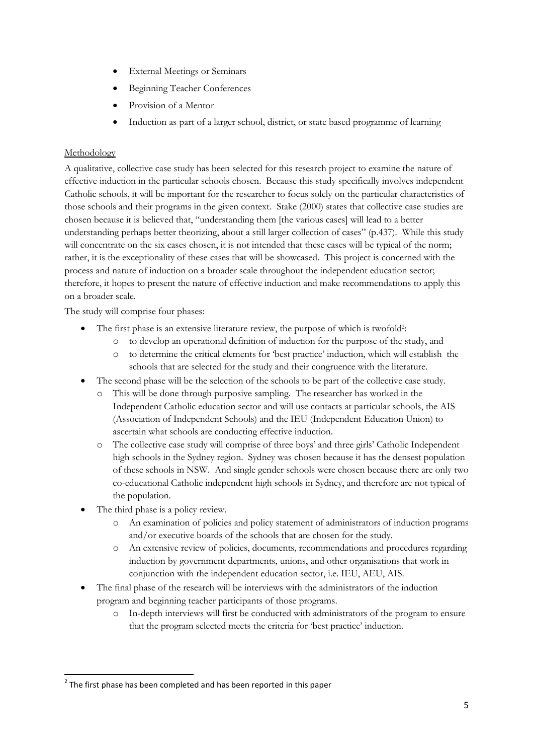- **External Meetings or Seminars**
- Beginning Teacher Conferences
- Provision of a Mentor
- Induction as part of a larger school, district, or state based programme of learning

# Methodology

A qualitative, collective case study has been selected for this research project to examine the nature of effective induction in the particular schools chosen. Because this study specifically involves independent Catholic schools, it will be important for the researcher to focus solely on the particular characteristics of those schools and their programs in the given context. Stake (2000) states that collective case studies are chosen because it is believed that, "understanding them [the various cases] will lead to a better understanding perhaps better theorizing, about a still larger collection of cases" (p.437). While this study will concentrate on the six cases chosen, it is not intended that these cases will be typical of the norm; rather, it is the exceptionality of these cases that will be showcased. This project is concerned with the process and nature of induction on a broader scale throughout the independent education sector; therefore, it hopes to present the nature of effective induction and make recommendations to apply this on a broader scale.

The study will comprise four phases:

- The first phase is an extensive literature review, the purpose of which is twofold<sup>2</sup>:
	- o to develop an operational definition of induction for the purpose of the study, and
	- o to determine the critical elements for 'best practice' induction, which will establish the schools that are selected for the study and their congruence with the literature.
- The second phase will be the selection of the schools to be part of the collective case study.
	- o This will be done through purposive sampling. The researcher has worked in the Independent Catholic education sector and will use contacts at particular schools, the AIS (Association of Independent Schools) and the IEU (Independent Education Union) to ascertain what schools are conducting effective induction.
	- o The collective case study will comprise of three boys' and three girls' Catholic Independent high schools in the Sydney region. Sydney was chosen because it has the densest population of these schools in NSW. And single gender schools were chosen because there are only two co-educational Catholic independent high schools in Sydney, and therefore are not typical of the population.
- The third phase is a policy review.

 $\overline{a}$ 

- o An examination of policies and policy statement of administrators of induction programs and/or executive boards of the schools that are chosen for the study.
- o An extensive review of policies, documents, recommendations and procedures regarding induction by government departments, unions, and other organisations that work in conjunction with the independent education sector, i.e. IEU, AEU, AIS.
- The final phase of the research will be interviews with the administrators of the induction program and beginning teacher participants of those programs.
	- o In-depth interviews will first be conducted with administrators of the program to ensure that the program selected meets the criteria for 'best practice' induction.

 $2$  The first phase has been completed and has been reported in this paper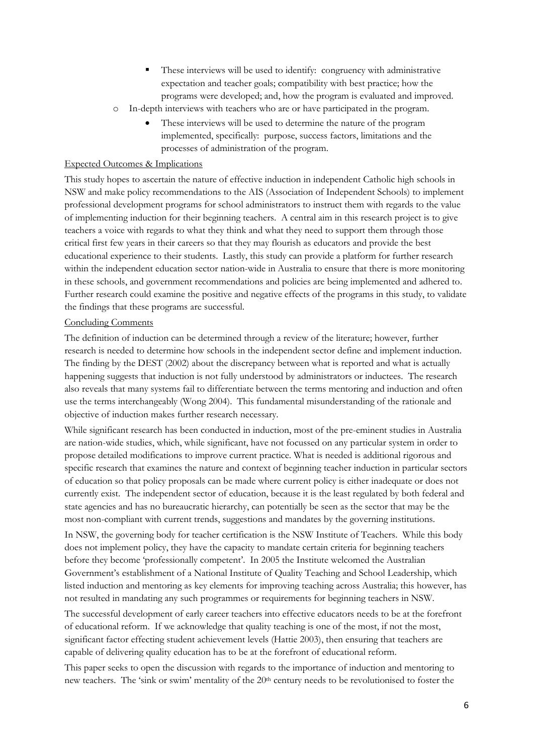- These interviews will be used to identify: congruency with administrative expectation and teacher goals; compatibility with best practice; how the programs were developed; and, how the program is evaluated and improved.
- o In-depth interviews with teachers who are or have participated in the program.
	- These interviews will be used to determine the nature of the program implemented, specifically: purpose, success factors, limitations and the processes of administration of the program.

# Expected Outcomes & Implications

This study hopes to ascertain the nature of effective induction in independent Catholic high schools in NSW and make policy recommendations to the AIS (Association of Independent Schools) to implement professional development programs for school administrators to instruct them with regards to the value of implementing induction for their beginning teachers. A central aim in this research project is to give teachers a voice with regards to what they think and what they need to support them through those critical first few years in their careers so that they may flourish as educators and provide the best educational experience to their students. Lastly, this study can provide a platform for further research within the independent education sector nation-wide in Australia to ensure that there is more monitoring in these schools, and government recommendations and policies are being implemented and adhered to. Further research could examine the positive and negative effects of the programs in this study, to validate the findings that these programs are successful.

#### Concluding Comments

The definition of induction can be determined through a review of the literature; however, further research is needed to determine how schools in the independent sector define and implement induction. The finding by the DEST (2002) about the discrepancy between what is reported and what is actually happening suggests that induction is not fully understood by administrators or inductees. The research also reveals that many systems fail to differentiate between the terms mentoring and induction and often use the terms interchangeably (Wong 2004). This fundamental misunderstanding of the rationale and objective of induction makes further research necessary.

While significant research has been conducted in induction, most of the pre-eminent studies in Australia are nation-wide studies, which, while significant, have not focussed on any particular system in order to propose detailed modifications to improve current practice. What is needed is additional rigorous and specific research that examines the nature and context of beginning teacher induction in particular sectors of education so that policy proposals can be made where current policy is either inadequate or does not currently exist. The independent sector of education, because it is the least regulated by both federal and state agencies and has no bureaucratic hierarchy, can potentially be seen as the sector that may be the most non-compliant with current trends, suggestions and mandates by the governing institutions.

In NSW, the governing body for teacher certification is the NSW Institute of Teachers. While this body does not implement policy, they have the capacity to mandate certain criteria for beginning teachers before they become 'professionally competent'. In 2005 the Institute welcomed the Australian Government's establishment of a National Institute of Quality Teaching and School Leadership, which listed induction and mentoring as key elements for improving teaching across Australia; this however, has not resulted in mandating any such programmes or requirements for beginning teachers in NSW.

The successful development of early career teachers into effective educators needs to be at the forefront of educational reform. If we acknowledge that quality teaching is one of the most, if not the most, significant factor effecting student achievement levels (Hattie 2003), then ensuring that teachers are capable of delivering quality education has to be at the forefront of educational reform.

This paper seeks to open the discussion with regards to the importance of induction and mentoring to new teachers. The 'sink or swim' mentality of the 20<sup>th</sup> century needs to be revolutionised to foster the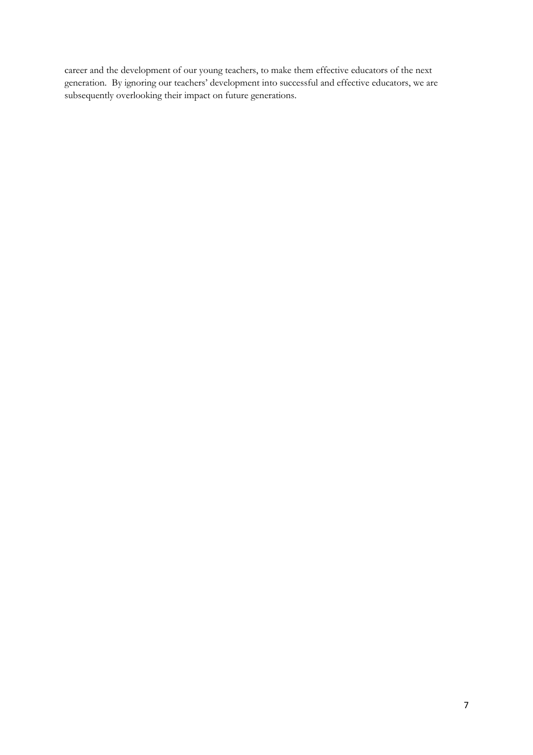career and the development of our young teachers, to make them effective educators of the next generation. By ignoring our teachers' development into successful and effective educators, we are subsequently overlooking their impact on future generations.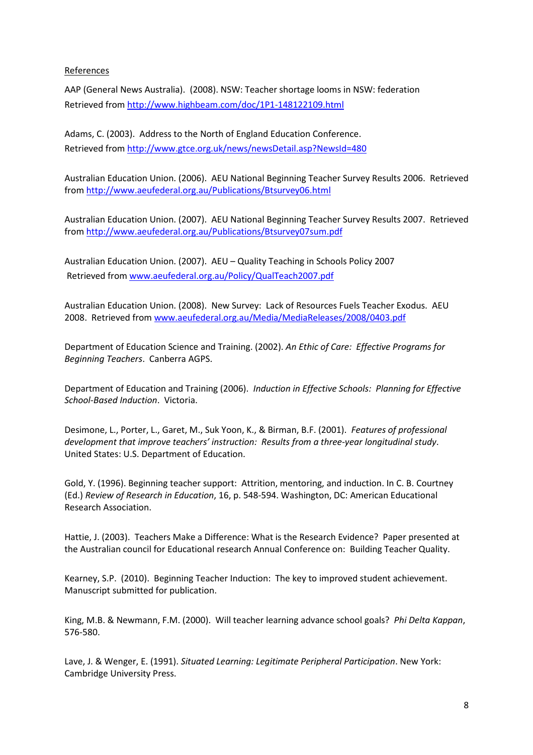# References

AAP (General News Australia). (2008). NSW: Teacher shortage looms in NSW: federation Retrieved from http://www.highbeam.com/doc/1P1-148122109.html

Adams, C. (2003). Address to the North of England Education Conference. Retrieved from http://www.gtce.org.uk/news/newsDetail.asp?NewsId=480

Australian Education Union. (2006). AEU National Beginning Teacher Survey Results 2006. Retrieved from http://www.aeufederal.org.au/Publications/Btsurvey06.html

Australian Education Union. (2007). AEU National Beginning Teacher Survey Results 2007. Retrieved from http://www.aeufederal.org.au/Publications/Btsurvey07sum.pdf

Australian Education Union. (2007). AEU – Quality Teaching in Schools Policy 2007 Retrieved from www.aeufederal.org.au/Policy/QualTeach2007.pdf

Australian Education Union. (2008). New Survey: Lack of Resources Fuels Teacher Exodus. AEU 2008. Retrieved from www.aeufederal.org.au/Media/MediaReleases/2008/0403.pdf

Department of Education Science and Training. (2002). An Ethic of Care: Effective Programs for Beginning Teachers. Canberra AGPS.

Department of Education and Training (2006). Induction in Effective Schools: Planning for Effective School-Based Induction. Victoria.

Desimone, L., Porter, L., Garet, M., Suk Yoon, K., & Birman, B.F. (2001). Features of professional development that improve teachers' instruction: Results from a three-year longitudinal study. United States: U.S. Department of Education.

Gold, Y. (1996). Beginning teacher support: Attrition, mentoring, and induction. In C. B. Courtney (Ed.) Review of Research in Education, 16, p. 548-594. Washington, DC: American Educational Research Association.

Hattie, J. (2003). Teachers Make a Difference: What is the Research Evidence? Paper presented at the Australian council for Educational research Annual Conference on: Building Teacher Quality.

Kearney, S.P. (2010). Beginning Teacher Induction: The key to improved student achievement. Manuscript submitted for publication.

King, M.B. & Newmann, F.M. (2000). Will teacher learning advance school goals? Phi Delta Kappan, 576-580.

Lave, J. & Wenger, E. (1991). Situated Learning: Legitimate Peripheral Participation. New York: Cambridge University Press.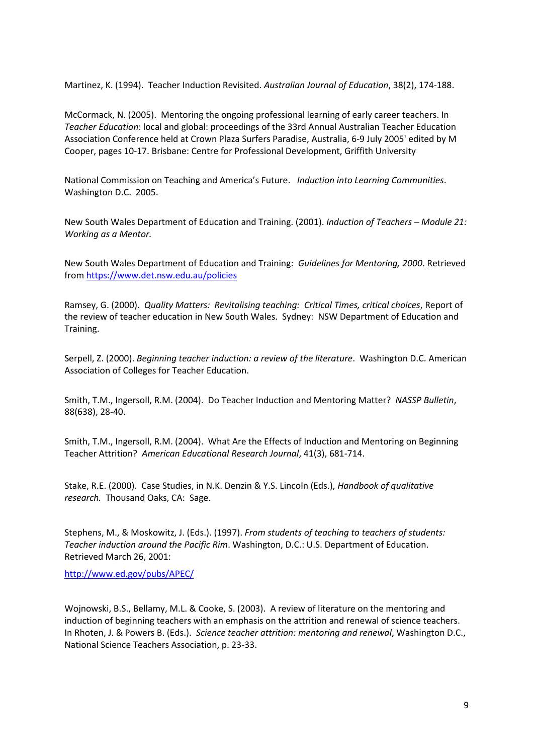Martinez, K. (1994). Teacher Induction Revisited. Australian Journal of Education, 38(2), 174-188.

McCormack, N. (2005). Mentoring the ongoing professional learning of early career teachers. In Teacher Education: local and global: proceedings of the 33rd Annual Australian Teacher Education Association Conference held at Crown Plaza Surfers Paradise, Australia, 6-9 July 2005' edited by M Cooper, pages 10-17. Brisbane: Centre for Professional Development, Griffith University

National Commission on Teaching and America's Future. Induction into Learning Communities. Washington D.C. 2005.

New South Wales Department of Education and Training. (2001). Induction of Teachers – Module 21: Working as a Mentor.

New South Wales Department of Education and Training: Guidelines for Mentoring, 2000. Retrieved from https://www.det.nsw.edu.au/policies

Ramsey, G. (2000). Quality Matters: Revitalising teaching: Critical Times, critical choices, Report of the review of teacher education in New South Wales. Sydney: NSW Department of Education and Training.

Serpell, Z. (2000). Beginning teacher induction: a review of the literature. Washington D.C. American Association of Colleges for Teacher Education.

Smith, T.M., Ingersoll, R.M. (2004). Do Teacher Induction and Mentoring Matter? NASSP Bulletin, 88(638), 28-40.

Smith, T.M., Ingersoll, R.M. (2004). What Are the Effects of Induction and Mentoring on Beginning Teacher Attrition? American Educational Research Journal, 41(3), 681-714.

Stake, R.E. (2000). Case Studies, in N.K. Denzin & Y.S. Lincoln (Eds.), Handbook of qualitative research. Thousand Oaks, CA: Sage.

Stephens, M., & Moskowitz, J. (Eds.). (1997). From students of teaching to teachers of students: Teacher induction around the Pacific Rim. Washington, D.C.: U.S. Department of Education. Retrieved March 26, 2001:

http://www.ed.gov/pubs/APEC/

Wojnowski, B.S., Bellamy, M.L. & Cooke, S. (2003). A review of literature on the mentoring and induction of beginning teachers with an emphasis on the attrition and renewal of science teachers. In Rhoten, J. & Powers B. (Eds.). Science teacher attrition: mentoring and renewal, Washington D.C., National Science Teachers Association, p. 23-33.